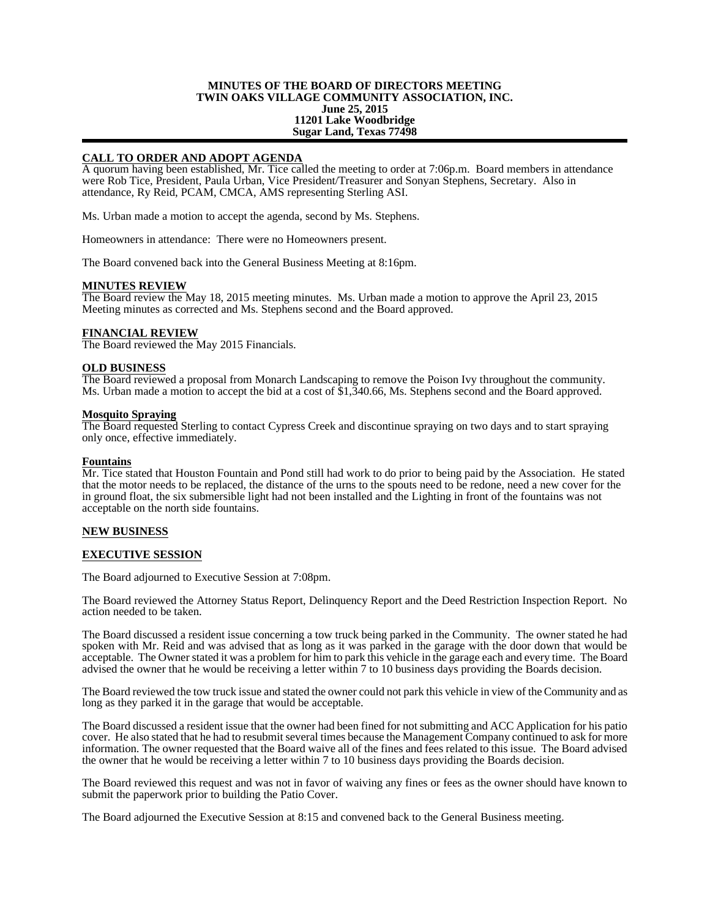## **MINUTES OF THE BOARD OF DIRECTORS MEETING TWIN OAKS VILLAGE COMMUNITY ASSOCIATION, INC. June 25, 2015 11201 Lake Woodbridge Sugar Land, Texas 77498**

# **CALL TO ORDER AND ADOPT AGENDA**

A quorum having been established, Mr. Tice called the meeting to order at 7:06p.m. Board members in attendance were Rob Tice, President, Paula Urban, Vice President/Treasurer and Sonyan Stephens, Secretary. Also in attendance, Ry Reid, PCAM, CMCA, AMS representing Sterling ASI.

Ms. Urban made a motion to accept the agenda, second by Ms. Stephens.

Homeowners in attendance: There were no Homeowners present.

The Board convened back into the General Business Meeting at 8:16pm.

#### **MINUTES REVIEW**

The Board review the May 18, 2015 meeting minutes. Ms. Urban made a motion to approve the April 23, 2015 Meeting minutes as corrected and Ms. Stephens second and the Board approved.

## **FINANCIAL REVIEW**

The Board reviewed the May 2015 Financials.

### **OLD BUSINESS**

The Board reviewed a proposal from Monarch Landscaping to remove the Poison Ivy throughout the community. Ms. Urban made a motion to accept the bid at a cost of \$1,340.66, Ms. Stephens second and the Board approved.

### **Mosquito Spraying**

The Board requested Sterling to contact Cypress Creek and discontinue spraying on two days and to start spraying only once, effective immediately.

#### **Fountains**

Mr. Tice stated that Houston Fountain and Pond still had work to do prior to being paid by the Association. He stated that the motor needs to be replaced, the distance of the urns to the spouts need to be redone, need a new cover for the in ground float, the six submersible light had not been installed and the Lighting in front of the fountains was not acceptable on the north side fountains.

### **NEW BUSINESS**

## **EXECUTIVE SESSION**

The Board adjourned to Executive Session at 7:08pm.

The Board reviewed the Attorney Status Report, Delinquency Report and the Deed Restriction Inspection Report. No action needed to be taken.

The Board discussed a resident issue concerning a tow truck being parked in the Community. The owner stated he had spoken with Mr. Reid and was advised that as long as it was parked in the garage with the door down that would be acceptable. The Owner stated it was a problem for him to park this vehicle in the garage each and every time. The Board advised the owner that he would be receiving a letter within 7 to 10 business days providing the Boards decision.

The Board reviewed the tow truck issue and stated the owner could not park this vehicle in view of the Community and as long as they parked it in the garage that would be acceptable.

The Board discussed a resident issue that the owner had been fined for not submitting and ACC Application for his patio cover. He also stated that he had to resubmit several times because the Management Company continued to ask for more information. The owner requested that the Board waive all of the fines and fees related to this issue. The Board advised the owner that he would be receiving a letter within 7 to 10 business days providing the Boards decision.

The Board reviewed this request and was not in favor of waiving any fines or fees as the owner should have known to submit the paperwork prior to building the Patio Cover.

The Board adjourned the Executive Session at 8:15 and convened back to the General Business meeting.